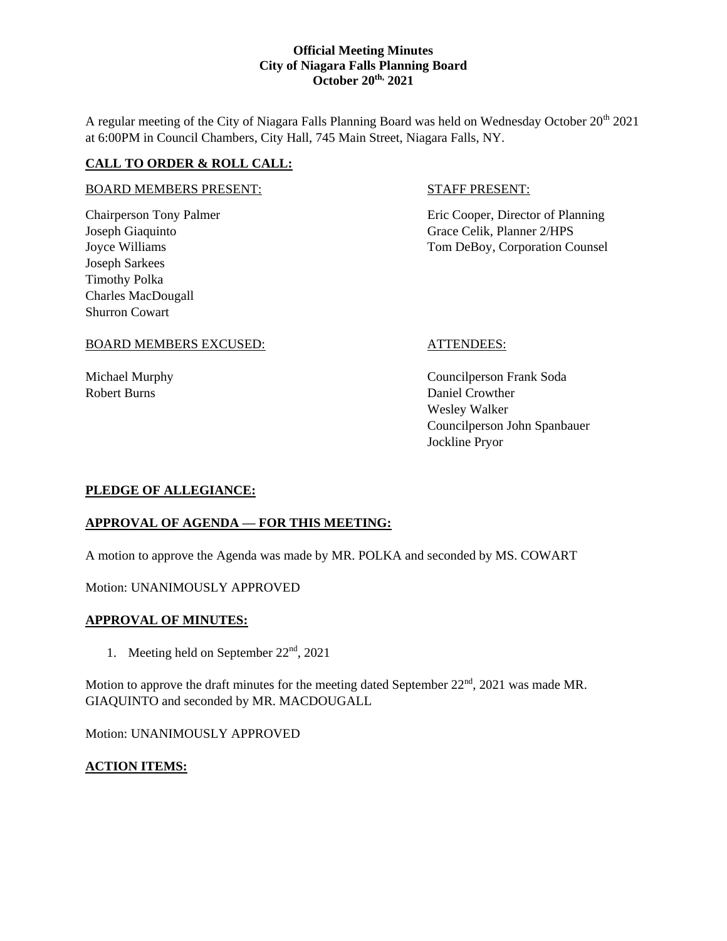A regular meeting of the City of Niagara Falls Planning Board was held on Wednesday October 20<sup>th</sup> 2021 at 6:00PM in Council Chambers, City Hall, 745 Main Street, Niagara Falls, NY.

## **CALL TO ORDER & ROLL CALL:**

Joseph Sarkees Timothy Polka Charles MacDougall Shurron Cowart

# **STAFF PRESENT:**

Chairperson Tony Palmer **Existence** Eric Cooper, Director of Planning Joseph Giaquinto Grace Celik, Planner 2/HPS Joyce Williams Tom DeBoy, Corporation Counsel

## BOARD MEMBERS EXCUSED: ATTENDEES:

Michael Murphy Councilperson Frank Soda Robert Burns Daniel Crowther Wesley Walker Councilperson John Spanbauer Jockline Pryor

## **PLEDGE OF ALLEGIANCE:**

# **APPROVAL OF AGENDA — FOR THIS MEETING:**

A motion to approve the Agenda was made by MR. POLKA and seconded by MS. COWART

Motion: UNANIMOUSLY APPROVED

## **APPROVAL OF MINUTES:**

1. Meeting held on September  $22<sup>nd</sup>$ ,  $2021$ 

Motion to approve the draft minutes for the meeting dated September  $22<sup>nd</sup>$ , 2021 was made MR. GIAQUINTO and seconded by MR. MACDOUGALL

Motion: UNANIMOUSLY APPROVED

### **ACTION ITEMS:**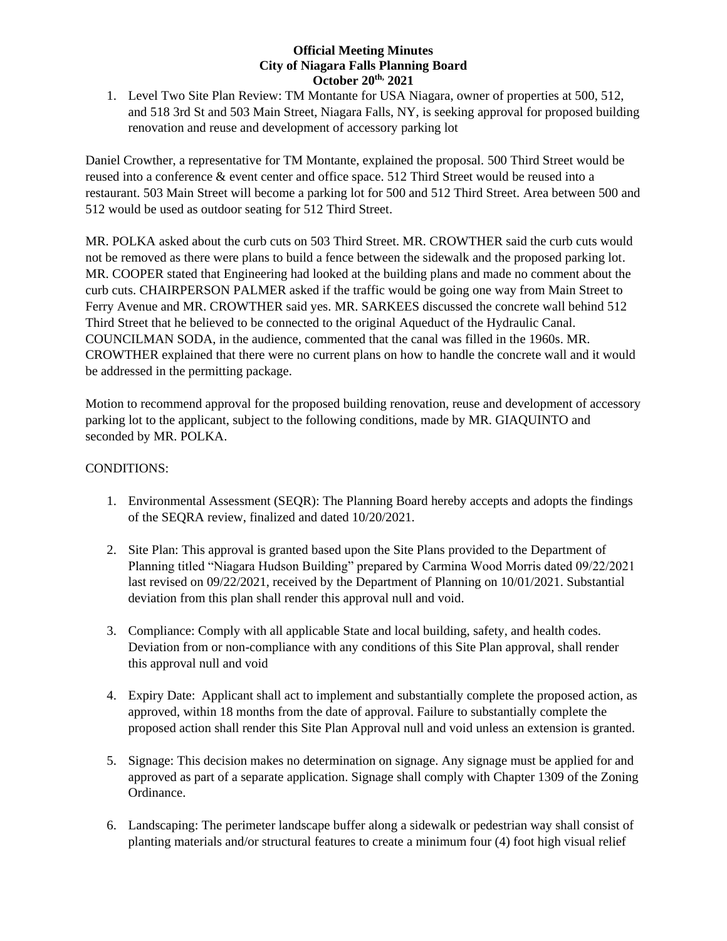1. Level Two Site Plan Review: TM Montante for USA Niagara, owner of properties at 500, 512, and 518 3rd St and 503 Main Street, Niagara Falls, NY, is seeking approval for proposed building renovation and reuse and development of accessory parking lot

Daniel Crowther, a representative for TM Montante, explained the proposal. 500 Third Street would be reused into a conference & event center and office space. 512 Third Street would be reused into a restaurant. 503 Main Street will become a parking lot for 500 and 512 Third Street. Area between 500 and 512 would be used as outdoor seating for 512 Third Street.

MR. POLKA asked about the curb cuts on 503 Third Street. MR. CROWTHER said the curb cuts would not be removed as there were plans to build a fence between the sidewalk and the proposed parking lot. MR. COOPER stated that Engineering had looked at the building plans and made no comment about the curb cuts. CHAIRPERSON PALMER asked if the traffic would be going one way from Main Street to Ferry Avenue and MR. CROWTHER said yes. MR. SARKEES discussed the concrete wall behind 512 Third Street that he believed to be connected to the original Aqueduct of the Hydraulic Canal. COUNCILMAN SODA, in the audience, commented that the canal was filled in the 1960s. MR. CROWTHER explained that there were no current plans on how to handle the concrete wall and it would be addressed in the permitting package.

Motion to recommend approval for the proposed building renovation, reuse and development of accessory parking lot to the applicant, subject to the following conditions, made by MR. GIAQUINTO and seconded by MR. POLKA.

## CONDITIONS:

- 1. Environmental Assessment (SEQR): The Planning Board hereby accepts and adopts the findings of the SEQRA review, finalized and dated 10/20/2021.
- 2. Site Plan: This approval is granted based upon the Site Plans provided to the Department of Planning titled "Niagara Hudson Building" prepared by Carmina Wood Morris dated 09/22/2021 last revised on 09/22/2021, received by the Department of Planning on 10/01/2021. Substantial deviation from this plan shall render this approval null and void.
- 3. Compliance: Comply with all applicable State and local building, safety, and health codes. Deviation from or non-compliance with any conditions of this Site Plan approval, shall render this approval null and void
- 4. Expiry Date: Applicant shall act to implement and substantially complete the proposed action, as approved, within 18 months from the date of approval. Failure to substantially complete the proposed action shall render this Site Plan Approval null and void unless an extension is granted.
- 5. Signage: This decision makes no determination on signage. Any signage must be applied for and approved as part of a separate application. Signage shall comply with Chapter 1309 of the Zoning Ordinance.
- 6. Landscaping: The perimeter landscape buffer along a sidewalk or pedestrian way shall consist of planting materials and/or structural features to create a minimum four (4) foot high visual relief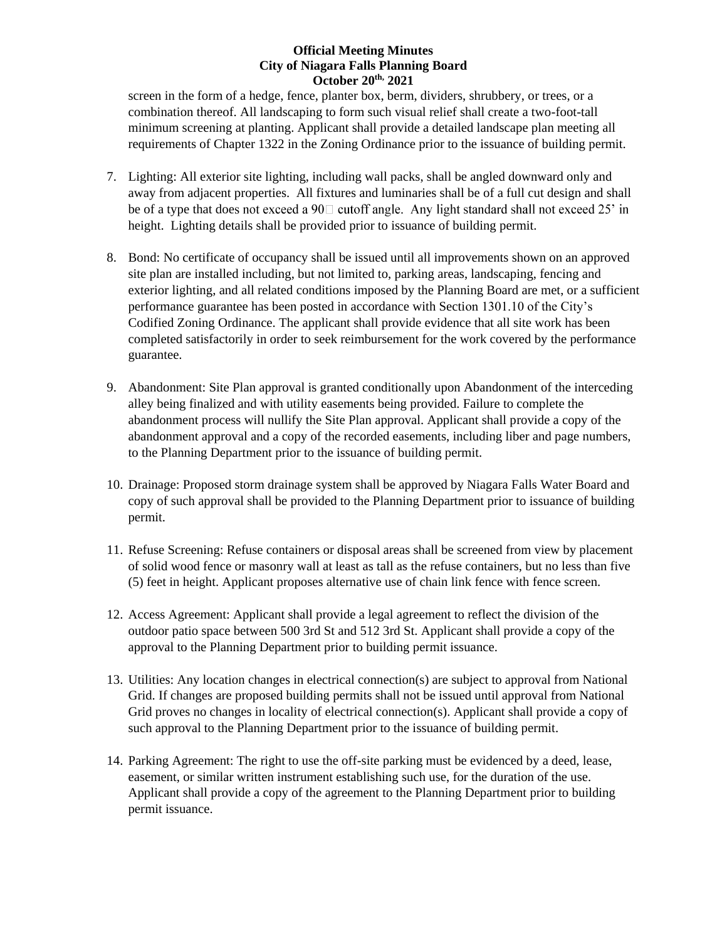screen in the form of a hedge, fence, planter box, berm, dividers, shrubbery, or trees, or a combination thereof. All landscaping to form such visual relief shall create a two-foot-tall minimum screening at planting. Applicant shall provide a detailed landscape plan meeting all requirements of Chapter 1322 in the Zoning Ordinance prior to the issuance of building permit.

- 7. Lighting: All exterior site lighting, including wall packs, shall be angled downward only and away from adjacent properties. All fixtures and luminaries shall be of a full cut design and shall be of a type that does not exceed a 90 $\Box$  cutoff angle. Any light standard shall not exceed 25' in height. Lighting details shall be provided prior to issuance of building permit.
- 8. Bond: No certificate of occupancy shall be issued until all improvements shown on an approved site plan are installed including, but not limited to, parking areas, landscaping, fencing and exterior lighting, and all related conditions imposed by the Planning Board are met, or a sufficient performance guarantee has been posted in accordance with Section 1301.10 of the City's Codified Zoning Ordinance. The applicant shall provide evidence that all site work has been completed satisfactorily in order to seek reimbursement for the work covered by the performance guarantee.
- 9. Abandonment: Site Plan approval is granted conditionally upon Abandonment of the interceding alley being finalized and with utility easements being provided. Failure to complete the abandonment process will nullify the Site Plan approval. Applicant shall provide a copy of the abandonment approval and a copy of the recorded easements, including liber and page numbers, to the Planning Department prior to the issuance of building permit.
- 10. Drainage: Proposed storm drainage system shall be approved by Niagara Falls Water Board and copy of such approval shall be provided to the Planning Department prior to issuance of building permit.
- 11. Refuse Screening: Refuse containers or disposal areas shall be screened from view by placement of solid wood fence or masonry wall at least as tall as the refuse containers, but no less than five (5) feet in height. Applicant proposes alternative use of chain link fence with fence screen.
- 12. Access Agreement: Applicant shall provide a legal agreement to reflect the division of the outdoor patio space between 500 3rd St and 512 3rd St. Applicant shall provide a copy of the approval to the Planning Department prior to building permit issuance.
- 13. Utilities: Any location changes in electrical connection(s) are subject to approval from National Grid. If changes are proposed building permits shall not be issued until approval from National Grid proves no changes in locality of electrical connection(s). Applicant shall provide a copy of such approval to the Planning Department prior to the issuance of building permit.
- 14. Parking Agreement: The right to use the off-site parking must be evidenced by a deed, lease, easement, or similar written instrument establishing such use, for the duration of the use. Applicant shall provide a copy of the agreement to the Planning Department prior to building permit issuance.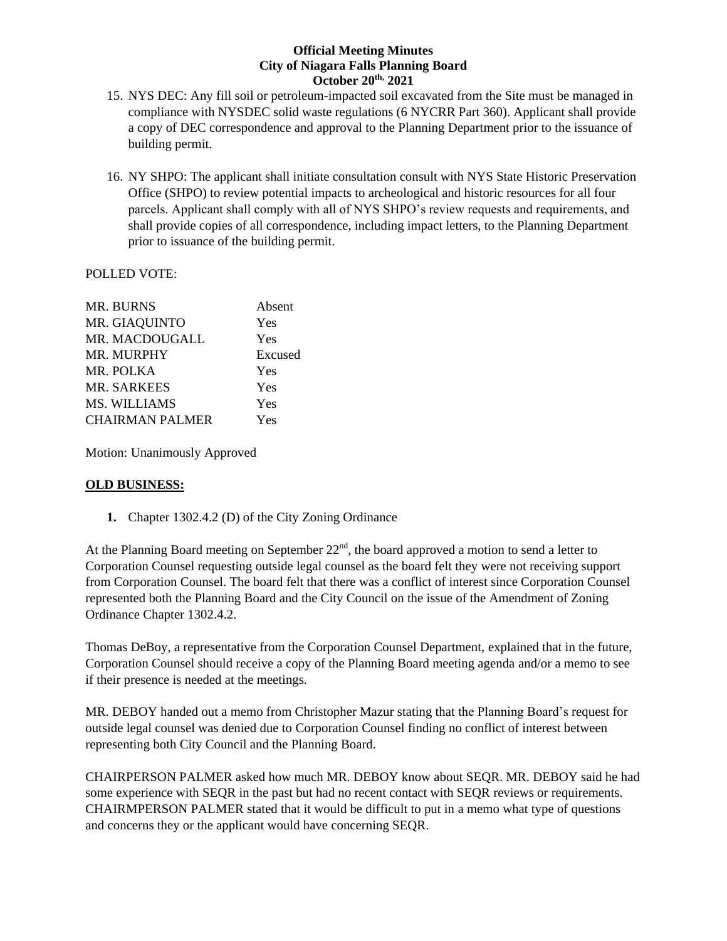- 15. NYS DEC: Any fill soil or petroleum-impacted soil excavated from the Site must be managed in compliance with NYSDEC solid waste regulations (6 NYCRR Part 360). Applicant shall provide a copy of DEC correspondence and approval to the Planning Department prior to the issuance of building permit.
- 16. NY SHPO: The applicant shall initiate consultation consult with NYS State Historic Preservation Office (SHPO) to review potential impacts to archeological and historic resources for all four parcels. Applicant shall comply with all of NYS SHPO's review requests and requirements, and shall provide copies of all correspondence, including impact letters, to the Planning Department prior to issuance of the building permit.

## POLLED VOTE:

| <b>MR. BURNS</b>       | Absent  |
|------------------------|---------|
| MR. GIAQUINTO          | Yes     |
| MR. MACDOUGALL         | Yes     |
| MR. MURPHY             | Excused |
| MR. POLKA              | Yes     |
| <b>MR. SARKEES</b>     | Yes     |
| MS. WILLIAMS           | Yes     |
| <b>CHAIRMAN PALMER</b> | Yes     |
|                        |         |

Motion: Unanimously Approved

## **OLD BUSINESS:**

**1.** Chapter 1302.4.2 (D) of the City Zoning Ordinance

At the Planning Board meeting on September  $22<sup>nd</sup>$ , the board approved a motion to send a letter to Corporation Counsel requesting outside legal counsel as the board felt they were not receiving support from Corporation Counsel. The board felt that there was a conflict of interest since Corporation Counsel represented both the Planning Board and the City Council on the issue of the Amendment of Zoning Ordinance Chapter 1302.4.2.

Thomas DeBoy, a representative from the Corporation Counsel Department, explained that in the future, Corporation Counsel should receive a copy of the Planning Board meeting agenda and/or a memo to see if their presence is needed at the meetings.

MR. DEBOY handed out a memo from Christopher Mazur stating that the Planning Board's request for outside legal counsel was denied due to Corporation Counsel finding no conflict of interest between representing both City Council and the Planning Board.

CHAIRPERSON PALMER asked how much MR. DEBOY know about SEQR. MR. DEBOY said he had some experience with SEQR in the past but had no recent contact with SEQR reviews or requirements. CHAIRMPERSON PALMER stated that it would be difficult to put in a memo what type of questions and concerns they or the applicant would have concerning SEQR.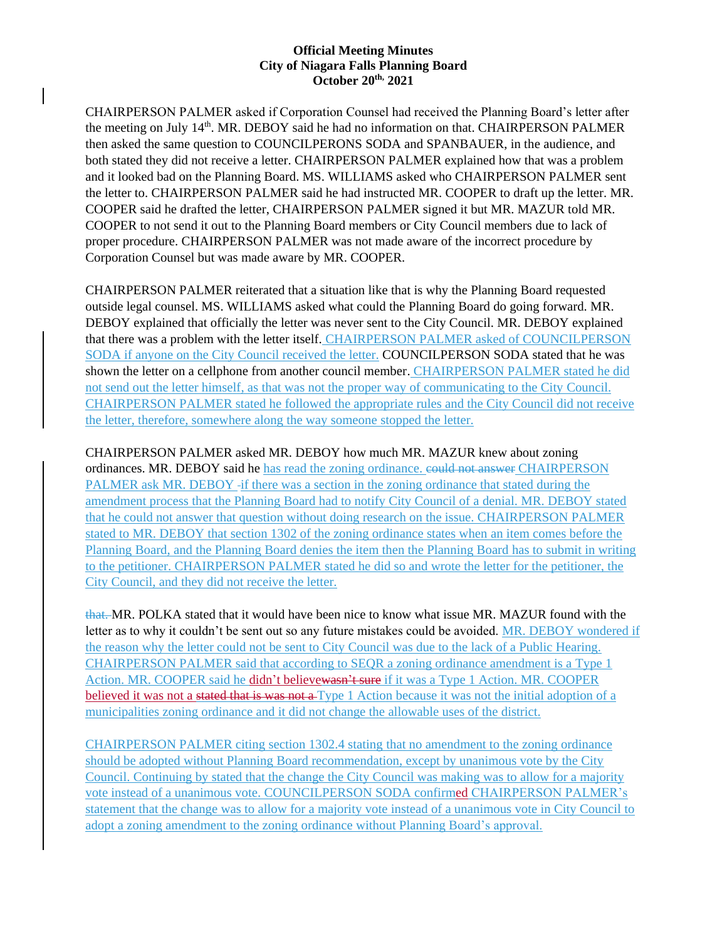CHAIRPERSON PALMER asked if Corporation Counsel had received the Planning Board's letter after the meeting on July 14<sup>th</sup>. MR. DEBOY said he had no information on that. CHAIRPERSON PALMER then asked the same question to COUNCILPERONS SODA and SPANBAUER, in the audience, and both stated they did not receive a letter. CHAIRPERSON PALMER explained how that was a problem and it looked bad on the Planning Board. MS. WILLIAMS asked who CHAIRPERSON PALMER sent the letter to. CHAIRPERSON PALMER said he had instructed MR. COOPER to draft up the letter. MR. COOPER said he drafted the letter, CHAIRPERSON PALMER signed it but MR. MAZUR told MR. COOPER to not send it out to the Planning Board members or City Council members due to lack of proper procedure. CHAIRPERSON PALMER was not made aware of the incorrect procedure by Corporation Counsel but was made aware by MR. COOPER.

CHAIRPERSON PALMER reiterated that a situation like that is why the Planning Board requested outside legal counsel. MS. WILLIAMS asked what could the Planning Board do going forward. MR. DEBOY explained that officially the letter was never sent to the City Council. MR. DEBOY explained that there was a problem with the letter itself. CHAIRPERSON PALMER asked of COUNCILPERSON SODA if anyone on the City Council received the letter. COUNCILPERSON SODA stated that he was shown the letter on a cellphone from another council member. CHAIRPERSON PALMER stated he did not send out the letter himself, as that was not the proper way of communicating to the City Council. CHAIRPERSON PALMER stated he followed the appropriate rules and the City Council did not receive the letter, therefore, somewhere along the way someone stopped the letter.

CHAIRPERSON PALMER asked MR. DEBOY how much MR. MAZUR knew about zoning ordinances. MR. DEBOY said he has read the zoning ordinance. could not answer CHAIRPERSON PALMER ask MR. DEBOY -if there was a section in the zoning ordinance that stated during the amendment process that the Planning Board had to notify City Council of a denial. MR. DEBOY stated that he could not answer that question without doing research on the issue. CHAIRPERSON PALMER stated to MR. DEBOY that section 1302 of the zoning ordinance states when an item comes before the Planning Board, and the Planning Board denies the item then the Planning Board has to submit in writing to the petitioner. CHAIRPERSON PALMER stated he did so and wrote the letter for the petitioner, the City Council, and they did not receive the letter.

that. MR. POLKA stated that it would have been nice to know what issue MR. MAZUR found with the letter as to why it couldn't be sent out so any future mistakes could be avoided. MR. DEBOY wondered if the reason why the letter could not be sent to City Council was due to the lack of a Public Hearing. CHAIRPERSON PALMER said that according to SEQR a zoning ordinance amendment is a Type 1 Action. MR. COOPER said he didn't believewasn't sure if it was a Type 1 Action. MR. COOPER believed it was not a stated that is was not a Type 1 Action because it was not the initial adoption of a municipalities zoning ordinance and it did not change the allowable uses of the district.

CHAIRPERSON PALMER citing section 1302.4 stating that no amendment to the zoning ordinance should be adopted without Planning Board recommendation, except by unanimous vote by the City Council. Continuing by stated that the change the City Council was making was to allow for a majority vote instead of a unanimous vote. COUNCILPERSON SODA confirmed CHAIRPERSON PALMER's statement that the change was to allow for a majority vote instead of a unanimous vote in City Council to adopt a zoning amendment to the zoning ordinance without Planning Board's approval.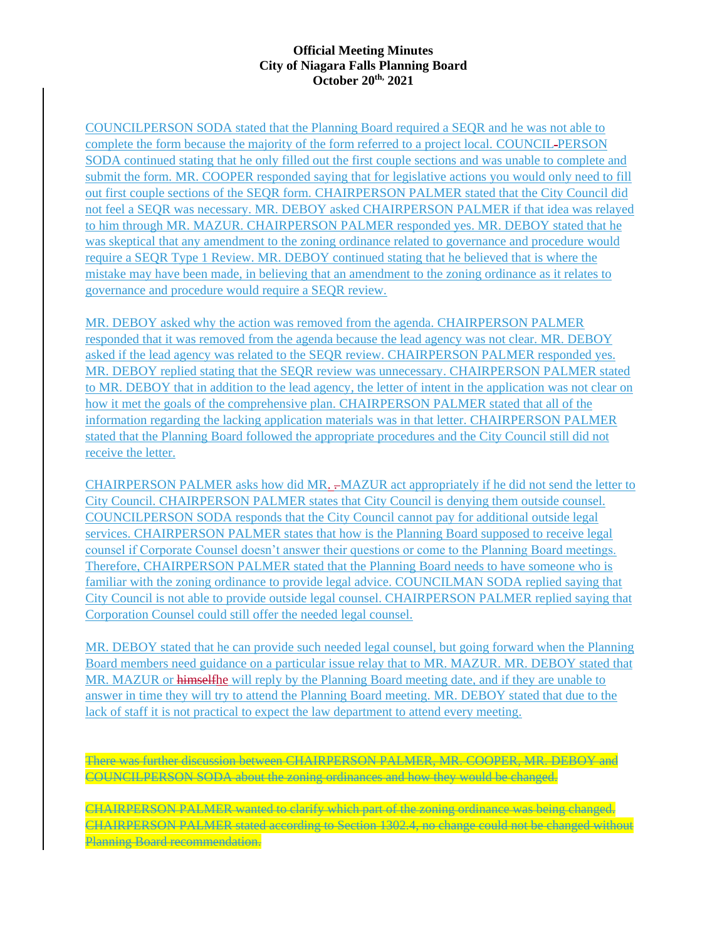COUNCILPERSON SODA stated that the Planning Board required a SEQR and he was not able to complete the form because the majority of the form referred to a project local. COUNCIL PERSON SODA continued stating that he only filled out the first couple sections and was unable to complete and submit the form. MR. COOPER responded saying that for legislative actions you would only need to fill out first couple sections of the SEQR form. CHAIRPERSON PALMER stated that the City Council did not feel a SEQR was necessary. MR. DEBOY asked CHAIRPERSON PALMER if that idea was relayed to him through MR. MAZUR. CHAIRPERSON PALMER responded yes. MR. DEBOY stated that he was skeptical that any amendment to the zoning ordinance related to governance and procedure would require a SEQR Type 1 Review. MR. DEBOY continued stating that he believed that is where the mistake may have been made, in believing that an amendment to the zoning ordinance as it relates to governance and procedure would require a SEQR review.

MR. DEBOY asked why the action was removed from the agenda. CHAIRPERSON PALMER responded that it was removed from the agenda because the lead agency was not clear. MR. DEBOY asked if the lead agency was related to the SEQR review. CHAIRPERSON PALMER responded yes. MR. DEBOY replied stating that the SEQR review was unnecessary. CHAIRPERSON PALMER stated to MR. DEBOY that in addition to the lead agency, the letter of intent in the application was not clear on how it met the goals of the comprehensive plan. CHAIRPERSON PALMER stated that all of the information regarding the lacking application materials was in that letter. CHAIRPERSON PALMER stated that the Planning Board followed the appropriate procedures and the City Council still did not receive the letter.

CHAIRPERSON PALMER asks how did MR. . MAZUR act appropriately if he did not send the letter to City Council. CHAIRPERSON PALMER states that City Council is denying them outside counsel. COUNCILPERSON SODA responds that the City Council cannot pay for additional outside legal services. CHAIRPERSON PALMER states that how is the Planning Board supposed to receive legal counsel if Corporate Counsel doesn't answer their questions or come to the Planning Board meetings. Therefore, CHAIRPERSON PALMER stated that the Planning Board needs to have someone who is familiar with the zoning ordinance to provide legal advice. COUNCILMAN SODA replied saying that City Council is not able to provide outside legal counsel. CHAIRPERSON PALMER replied saying that Corporation Counsel could still offer the needed legal counsel.

MR. DEBOY stated that he can provide such needed legal counsel, but going forward when the Planning Board members need guidance on a particular issue relay that to MR. MAZUR. MR. DEBOY stated that MR. MAZUR or himselfhe will reply by the Planning Board meeting date, and if they are unable to answer in time they will try to attend the Planning Board meeting. MR. DEBOY stated that due to the lack of staff it is not practical to expect the law department to attend every meeting.

There was further discussion between CHAIRPERSON PALMER, MR. COOPER, MR. DEBOY and COUNCILPERSON SODA about the zoning ordinances and how they would be changed.

CHAIRPERSON PALMER wanted to clarify which part of the zoning ordinance was being changed. CHAIRPERSON PALMER stated according to Section 1302.4, no change could not be changed without Planning Board recommendation.